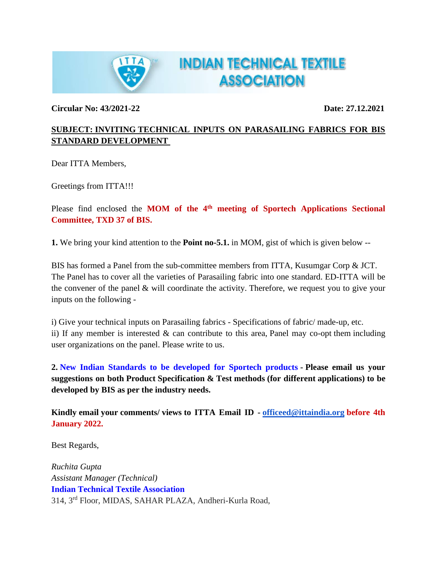

**Circular No: 43/2021-22 Date: 27.12.2021**

## **SUBJECT: INVITING TECHNICAL INPUTS ON PARASAILING FABRICS FOR BIS STANDARD DEVELOPMENT**

**INDIAN TECHNICAL TEXTILE** 

**ASSOCIATION** 

Dear ITTA Members,

Greetings from ITTA!!!

Please find enclosed the **MOM of the 4th meeting of Sportech Applications Sectional Committee, TXD 37 of BIS.**

**1.** We bring your kind attention to the **Point no-5.1.** in MOM, gist of which is given below --

BIS has formed a Panel from the sub-committee members from ITTA, Kusumgar Corp & JCT. The Panel has to cover all the varieties of Parasailing fabric into one standard. ED-ITTA will be the convener of the panel & will coordinate the activity. Therefore, we request you to give your inputs on the following -

i) Give your technical inputs on Parasailing fabrics - Specifications of fabric/ made-up, etc. ii) If any member is interested  $\&$  can contribute to this area, Panel may co-opt them including user organizations on the panel. Please write to us.

**2. New Indian Standards to be developed for Sportech products - Please email us your suggestions on both Product Specification & Test methods (for different applications) to be developed by BIS as per the industry needs.**

**Kindly email your comments/ views to ITTA Email ID - [officeed@ittaindia.org](mailto:officeed@ittaindia.org) before 4th January 2022.**

Best Regards,

*Ruchita Gupta Assistant Manager (Technical)* **Indian Technical Textile Association** 314, 3rd Floor, MIDAS, SAHAR PLAZA, Andheri-Kurla Road,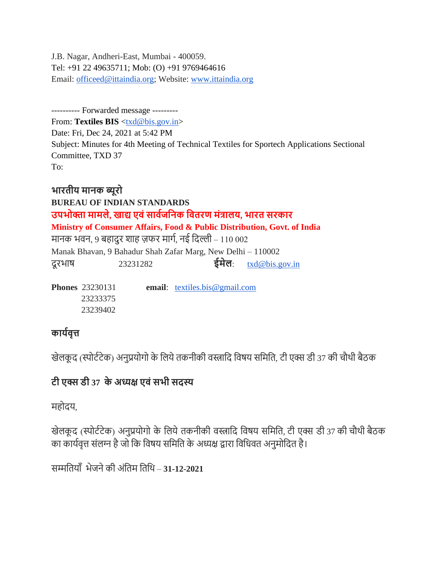J.B. Nagar, Andheri-East, Mumbai - 400059. Tel: +91 22 49635711; Mob: (O) +91 9769464616 Email: [officeed@ittaindia.org;](mailto:officeed@ittaindia.org) Website: [www.ittaindia.org](http://www.ittaindia.org/)

---------- Forwarded message --------- From: Textiles BIS [<txd@bis.gov.in>](mailto:txd@bis.gov.in) Date: Fri, Dec 24, 2021 at 5:42 PM Subject: Minutes for 4th Meeting of Technical Textiles for Sportech Applications Sectional Committee, TXD 37 To:

**भारतीय मानक ब्यूरो BUREAU OF INDIAN STANDARDS उपभोक्ता मामले, खाद्य एवंसाववजननक नवतरण मंत्रालय, भारत सरकार Ministry of Consumer Affairs, Food & Public Distribution, Govt. of India** मानक भवन, 9 बहादुर शाह ज़फर मार्ग, नई ददल्ली – 110 002 Manak Bhavan, 9 Bahadur Shah Zafar Marg, New Delhi – 110002 दू रभाष 23231282 **ईमेल**: [txd@bis.gov.in](mailto:txd@bis.gov.in) 

**Phones** 23230131 **email**: [textiles.bis@gmail.com](mailto:textiles.bis@gmail.com)  23233375 23239402

# **कायववृत्त**

खेलकूद (स्पोर्टटेक) अनुप्रयोगो के लिये तकनीकी वस्त्रादि विषय समिति, टी एक्स डी 37 की चौथी बैठक

# **टी एक्स डी 37 के अध्यक्ष एवंसभी सदस्य**

महोदय,

खेलकूद (स्पोर्टटेक) अनुप्रयोगो के लिये तकनीकी वस्त्रादि विषय समिति, टी एक्स डी 37 की चौथी बैठक का कार्यवृत्त संलग्न है जो कि विषय समिति के अध्यक्ष द्वारा विधिवत अनुमोदित है।

सम्मदतयााँभेजनेकी अंदतम दतदथ – **31-12-2021**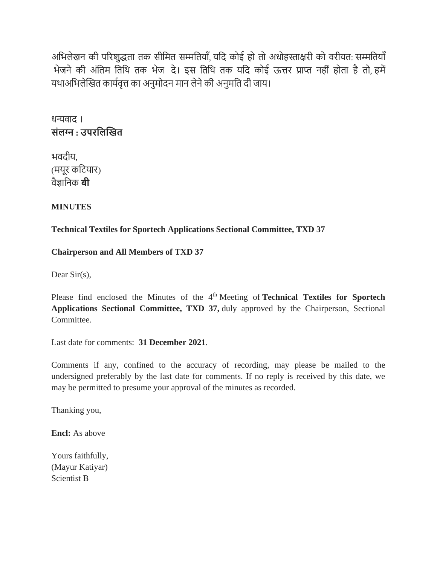अभिलेखन की परिशुद्धता तक सीमित सम्मतियाँ, यदि कोई हो तो अधोहस्ताक्षरी को वरीयत: सम्मतियाँ भेजने की अंतिम तिथि तक भेज दे। इस तिथि तक यदि कोई ऊत्तर प्राप्त नहीं होता है तो, हमें यथाअभिलेखित कार्यवृत्त का अनुमोदन मान लेने की अनुमति दी जाय।

धन्यवाद । **संलग्न : उपरनलखखत**

भवदीय, (मयूर कटियार) वैज्ञादनक **बी**

**MINUTES** 

**Technical Textiles for Sportech Applications Sectional Committee, TXD 37**

**Chairperson and All Members of TXD 37**

Dear Sir(s),

Please find enclosed the Minutes of the 4<sup>th</sup> Meeting of **Technical Textiles for Sportech Applications Sectional Committee, TXD 37,** duly approved by the Chairperson, Sectional Committee.

Last date for comments: **31 December 2021**.

Comments if any, confined to the accuracy of recording, may please be mailed to the undersigned preferably by the last date for comments. If no reply is received by this date, we may be permitted to presume your approval of the minutes as recorded.

Thanking you,

**Encl:** As above

Yours faithfully, (Mayur Katiyar) Scientist B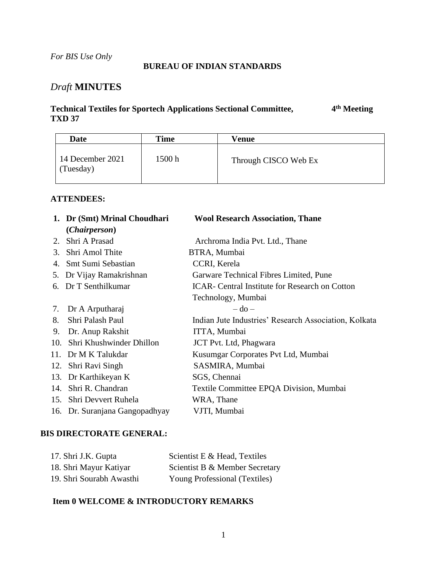#### **BUREAU OF INDIAN STANDARDS**

## *Draft* **MINUTES**

#### **Technical Textiles for Sportech Applications Sectional Committee, 4 th Meeting TXD 37**

| <b>Date</b>                   | Time   | Venue                |
|-------------------------------|--------|----------------------|
| 14 December 2021<br>(Tuesday) | 1500 h | Through CISCO Web Ex |

#### **ATTENDEES:**

|                 | 1. Dr (Smt) Mrinal Choudhari   | <b>Wool Research Association, Thane</b>               |
|-----------------|--------------------------------|-------------------------------------------------------|
|                 | ( <i>Chairperson</i> )         |                                                       |
| 2.              | Shri A Prasad                  | Archroma India Pvt. Ltd., Thane                       |
| 3.              | Shri Amol Thite                | BTRA, Mumbai                                          |
|                 | 4. Smt Sumi Sebastian          | CCRI, Kerela                                          |
|                 | 5. Dr Vijay Ramakrishnan       | Garware Technical Fibres Limited, Pune                |
|                 | 6. Dr T Senthilkumar           | <b>ICAR-</b> Central Institute for Research on Cotton |
|                 |                                | Technology, Mumbai                                    |
| 7.              | Dr A Arputharaj                | $-do-$                                                |
| 8.              | Shri Palash Paul               | Indian Jute Industries' Research Association, Kolkata |
| 9.              | Dr. Anup Rakshit               | ITTA, Mumbai                                          |
| 10.             | Shri Khushwinder Dhillon       | <b>JCT</b> Pvt. Ltd, Phagwara                         |
| 11 <sup>2</sup> | Dr M K Talukdar                | Kusumgar Corporates Pvt Ltd, Mumbai                   |
| 12.             | Shri Ravi Singh                | SASMIRA, Mumbai                                       |
| 13.             | Dr Karthikeyan K               | SGS, Chennai                                          |
| 14.             | Shri R. Chandran               | Textile Committee EPQA Division, Mumbai               |
| 15.             | Shri Devvert Ruhela            | WRA, Thane                                            |
|                 | 16. Dr. Suranjana Gangopadhyay | VJTI, Mumbai                                          |
|                 |                                |                                                       |

#### **BIS DIRECTORATE GENERAL:**

| 17. Shri J.K. Gupta      | Scientist E & Head, Textiles         |
|--------------------------|--------------------------------------|
| 18. Shri Mayur Katiyar   | Scientist B & Member Secretary       |
| 19. Shri Sourabh Awasthi | <b>Young Professional (Textiles)</b> |

#### **Item 0 WELCOME & INTRODUCTORY REMARKS**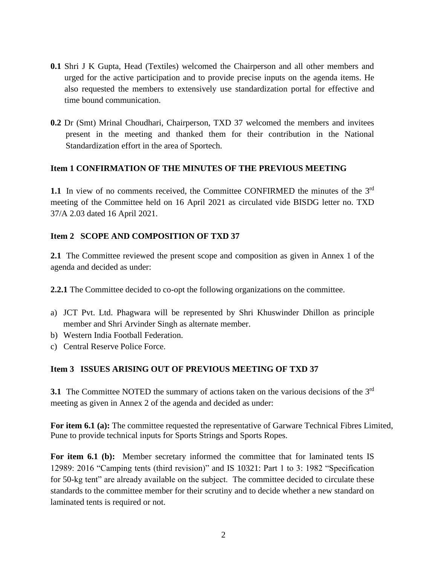- **0.1** Shri J K Gupta, Head (Textiles) welcomed the Chairperson and all other members and urged for the active participation and to provide precise inputs on the agenda items. He also requested the members to extensively use standardization portal for effective and time bound communication.
- **0.2** Dr (Smt) Mrinal Choudhari, Chairperson, TXD 37 welcomed the members and invitees present in the meeting and thanked them for their contribution in the National Standardization effort in the area of Sportech.

#### **Item 1 CONFIRMATION OF THE MINUTES OF THE PREVIOUS MEETING**

1.1 In view of no comments received, the Committee CONFIRMED the minutes of the 3<sup>rd</sup> meeting of the Committee held on 16 April 2021 as circulated vide BISDG letter no. TXD 37/A 2.03 dated 16 April 2021.

#### **Item 2 SCOPE AND COMPOSITION OF TXD 37**

**2.1** The Committee reviewed the present scope and composition as given in Annex 1 of the agenda and decided as under:

**2.2.1** The Committee decided to co-opt the following organizations on the committee.

- a) JCT Pvt. Ltd. Phagwara will be represented by Shri Khuswinder Dhillon as principle member and Shri Arvinder Singh as alternate member.
- b) Western India Football Federation.
- c) Central Reserve Police Force.

#### **Item 3 ISSUES ARISING OUT OF PREVIOUS MEETING OF TXD 37**

**3.1** The Committee NOTED the summary of actions taken on the various decisions of the 3<sup>rd</sup> meeting as given in Annex 2 of the agenda and decided as under:

**For item 6.1 (a):** The committee requested the representative of Garware Technical Fibres Limited, Pune to provide technical inputs for Sports Strings and Sports Ropes.

For item 6.1 (b): Member secretary informed the committee that for laminated tents IS 12989: 2016 "Camping tents (third revision)" and IS 10321: Part 1 to 3: 1982 "Specification for 50-kg tent" are already available on the subject. The committee decided to circulate these standards to the committee member for their scrutiny and to decide whether a new standard on laminated tents is required or not.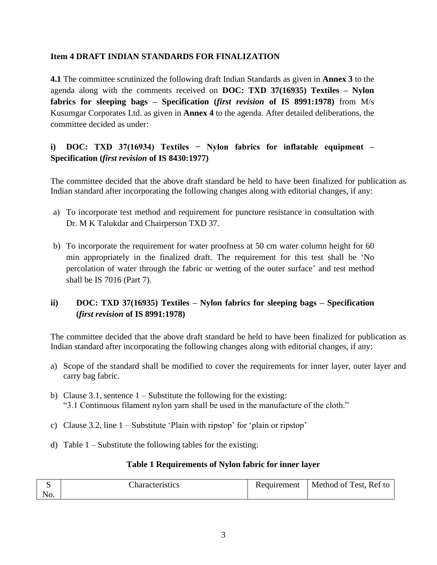#### **Item 4 DRAFT INDIAN STANDARDS FOR FINALIZATION**

**4.1** The committee scrutinized the following draft Indian Standards as given in **Annex 3** to the agenda along with the comments received on **DOC: TXD 37(16935) Textiles – Nylon fabrics for sleeping bags – Specification (***first revision* **of IS 8991:1978)** from M/s Kusumgar Corporates Ltd. as given in **Annex 4** to the agenda. After detailed deliberations, the committee decided as under:

### **i) DOC: TXD 37(16934) Textiles − Nylon fabrics for inflatable equipment – Specification (***first revision* **of IS 8430:1977)**

The committee decided that the above draft standard be held to have been finalized for publication as Indian standard after incorporating the following changes along with editorial changes, if any:

- a) To incorporate test method and requirement for puncture resistance in consultation with Dr. M K Talukdar and Chairperson TXD 37.
- b) To incorporate the requirement for water proofness at 50 cm water column height for 60 min appropriately in the finalized draft. The requirement for this test shall be 'No percolation of water through the fabric or wetting of the outer surface' and test method shall be IS 7016 (Part 7).

### **ii) DOC: TXD 37(16935) Textiles – Nylon fabrics for sleeping bags – Specification (***first revision* **of IS 8991:1978)**

The committee decided that the above draft standard be held to have been finalized for publication as Indian standard after incorporating the following changes along with editorial changes, if any:

- a) Scope of the standard shall be modified to cover the requirements for inner layer, outer layer and carry bag fabric.
- b) Clause 3.1, sentence  $1 -$  Substitute the following for the existing: "3.1 Continuous filament nylon yarn shall be used in the manufacture of the cloth."
- c) Clause 3.2, line 1 Substitute 'Plain with ripstop' for 'plain or ripstop'
- d) Table  $1 -$  Substitute the following tables for the existing:

#### **Table 1 Requirements of Nylon fabric for inner layer**

|     | Characteristics | Requirement | Method of Test, Ref to |
|-----|-----------------|-------------|------------------------|
| No. |                 |             |                        |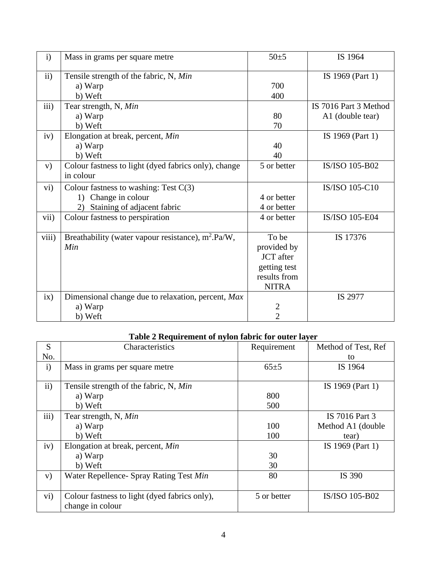| $\mathbf{i}$  | Mass in grams per square metre                              | $50+5$           | IS 1964               |
|---------------|-------------------------------------------------------------|------------------|-----------------------|
| $\mathbf{ii}$ | Tensile strength of the fabric, N, Min                      |                  | IS 1969 (Part 1)      |
|               | a) Warp                                                     | 700              |                       |
|               | b) Weft                                                     | 400              |                       |
| iii)          | Tear strength, N, Min                                       |                  | IS 7016 Part 3 Method |
|               | a) Warp                                                     | 80               | A1 (double tear)      |
|               | b) Weft                                                     | 70               |                       |
| iv)           | Elongation at break, percent, Min                           |                  | IS 1969 (Part 1)      |
|               | a) Warp                                                     | 40               |                       |
|               | b) Weft                                                     | 40               |                       |
| V)            | Colour fastness to light (dyed fabrics only), change        | 5 or better      | IS/ISO 105-B02        |
|               | in colour                                                   |                  |                       |
| vi)           | Colour fastness to washing: Test $C(3)$                     |                  | IS/ISO 105-C10        |
|               | 1) Change in colour                                         | 4 or better      |                       |
|               | Staining of adjacent fabric<br>2)                           | 4 or better      |                       |
| vii)          | Colour fastness to perspiration                             | 4 or better      | IS/ISO 105-E04        |
|               |                                                             |                  |                       |
| viii)         | Breathability (water vapour resistance), $m^2 \cdot Pa/W$ , | To be            | IS 17376              |
|               | Min                                                         | provided by      |                       |
|               |                                                             | <b>JCT</b> after |                       |
|               |                                                             | getting test     |                       |
|               |                                                             | results from     |                       |
|               |                                                             | <b>NITRA</b>     |                       |
| ix)           | Dimensional change due to relaxation, percent, Max          |                  | IS 2977               |
|               | a) Warp                                                     | $\overline{2}$   |                       |
|               | b) Weft                                                     | $\overline{2}$   |                       |

# **Table 2 Requirement of nylon fabric for outer layer**

| S             | Characteristics                               | Requirement | Method of Test, Ref |
|---------------|-----------------------------------------------|-------------|---------------------|
| No.           |                                               |             | to                  |
| $\mathbf{i}$  | Mass in grams per square metre                | $65+5$      | IS 1964             |
|               |                                               |             |                     |
| $\mathbf{ii}$ | Tensile strength of the fabric, N, Min        |             | IS 1969 (Part 1)    |
|               | a) Warp                                       | 800         |                     |
|               | b) Weft                                       | 500         |                     |
| iii)          | Tear strength, N, Min                         |             | IS 7016 Part 3      |
|               | a) Warp                                       | 100         | Method A1 (double)  |
|               | b) Weft                                       | 100         | tear)               |
| iv)           | Elongation at break, percent, Min             |             | IS 1969 (Part 1)    |
|               | a) Warp                                       | 30          |                     |
|               | b) Weft                                       | 30          |                     |
| V)            | Water Repellence- Spray Rating Test Min       | 80          | IS 390              |
|               |                                               |             |                     |
| vi)           | Colour fastness to light (dyed fabrics only), | 5 or better | IS/ISO 105-B02      |
|               | change in colour                              |             |                     |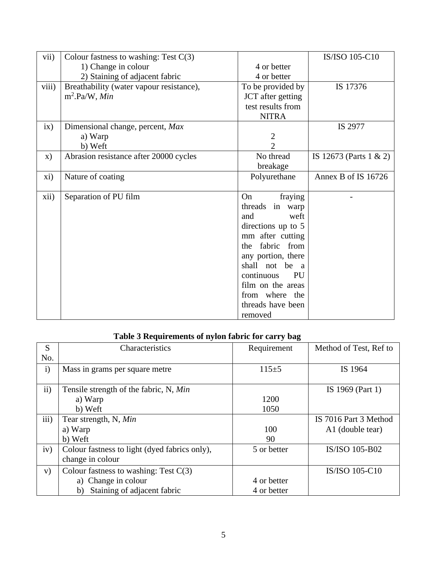| vii)  | Colour fastness to washing: Test $C(3)$  |                         | IS/ISO 105-C10             |
|-------|------------------------------------------|-------------------------|----------------------------|
|       | 1) Change in colour                      | 4 or better             |                            |
|       | 2) Staining of adjacent fabric           | 4 or better             |                            |
| viii) | Breathability (water vapour resistance), | To be provided by       | IS 17376                   |
|       | $m^2$ -Pa/W, Min                         | JCT after getting       |                            |
|       |                                          | test results from       |                            |
|       |                                          | <b>NITRA</b>            |                            |
| ix)   | Dimensional change, percent, Max         |                         | IS 2977                    |
|       | a) Warp                                  | $\overline{2}$          |                            |
|       | b) Weft                                  | $\overline{2}$          |                            |
| X)    | Abrasion resistance after 20000 cycles   | No thread               | IS 12673 (Parts $1 \& 2$ ) |
|       |                                          | breakage                |                            |
| xi)   | Nature of coating                        | Polyurethane            | Annex B of IS 16726        |
|       |                                          |                         |                            |
| xii)  | Separation of PU film                    | On<br>fraying           |                            |
|       |                                          | threads in warp         |                            |
|       |                                          | weft<br>and             |                            |
|       |                                          | directions up to 5      |                            |
|       |                                          | mm after cutting        |                            |
|       |                                          | fabric from<br>the      |                            |
|       |                                          | any portion, there      |                            |
|       |                                          | shall not be a          |                            |
|       |                                          | continuous<br><b>PU</b> |                            |
|       |                                          | film on the areas       |                            |
|       |                                          | from where the          |                            |
|       |                                          | threads have been       |                            |
|       |                                          | removed                 |                            |

## **Table 3 Requirements of nylon fabric for carry bag**

| S            | Characteristics                                                   | Requirement | Method of Test, Ref to |
|--------------|-------------------------------------------------------------------|-------------|------------------------|
| No.          |                                                                   |             |                        |
| $\mathbf{i}$ | Mass in grams per square metre                                    | $115 + 5$   | IS 1964                |
| ii)          | Tensile strength of the fabric, N, Min                            |             | IS 1969 (Part 1)       |
|              | a) Warp                                                           | 1200        |                        |
|              | b) Weft                                                           | 1050        |                        |
| iii)         | Tear strength, N, Min                                             |             | IS 7016 Part 3 Method  |
|              | a) Warp                                                           | 100         | A1 (double tear)       |
|              | b) Weft                                                           | 90          |                        |
| iv)          | Colour fastness to light (dyed fabrics only),<br>change in colour | 5 or better | IS/ISO 105-B02         |
| V)           | Colour fastness to washing: Test $C(3)$                           |             | IS/ISO 105-C10         |
|              | a) Change in colour                                               | 4 or better |                        |
|              | Staining of adjacent fabric<br>b)                                 | 4 or better |                        |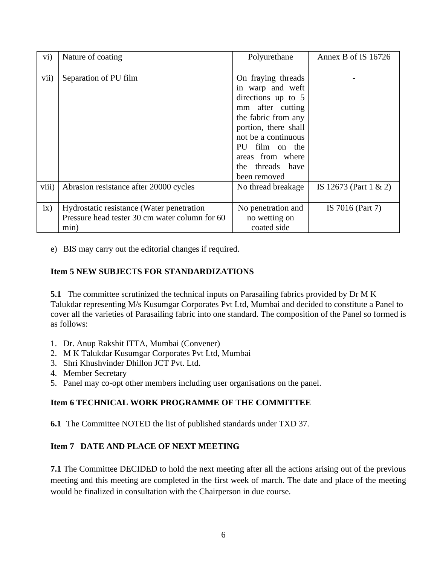| $\rm vi)$ | Nature of coating                                                                                   | Polyurethane                                                                                                                                                                                                                     | Annex B of IS 16726   |
|-----------|-----------------------------------------------------------------------------------------------------|----------------------------------------------------------------------------------------------------------------------------------------------------------------------------------------------------------------------------------|-----------------------|
| vii)      | Separation of PU film                                                                               | On fraying threads<br>in warp and weft<br>directions up to 5<br>mm after cutting<br>the fabric from any<br>portion, there shall<br>not be a continuous<br>PU film on the<br>areas from where<br>the threads have<br>been removed |                       |
| viii)     | Abrasion resistance after 20000 cycles                                                              | No thread breakage                                                                                                                                                                                                               | IS 12673 (Part 1 & 2) |
| ix)       | Hydrostatic resistance (Water penetration<br>Pressure head tester 30 cm water column for 60<br>min) | No penetration and<br>no wetting on<br>coated side                                                                                                                                                                               | IS 7016 (Part 7)      |

e) BIS may carry out the editorial changes if required.

#### **Item 5 NEW SUBJECTS FOR STANDARDIZATIONS**

**5.1** The committee scrutinized the technical inputs on Parasailing fabrics provided by Dr M K Talukdar representing M/s Kusumgar Corporates Pvt Ltd, Mumbai and decided to constitute a Panel to cover all the varieties of Parasailing fabric into one standard. The composition of the Panel so formed is as follows:

- 1. Dr. Anup Rakshit ITTA, Mumbai (Convener)
- 2. M K Talukdar Kusumgar Corporates Pvt Ltd, Mumbai
- 3. Shri Khushvinder Dhillon JCT Pvt. Ltd.
- 4. Member Secretary
- 5. Panel may co-opt other members including user organisations on the panel.

### **Item 6 TECHNICAL WORK PROGRAMME OF THE COMMITTEE**

**6.1** The Committee NOTED the list of published standards under TXD 37.

### **Item 7 DATE AND PLACE OF NEXT MEETING**

**7.1** The Committee DECIDED to hold the next meeting after all the actions arising out of the previous meeting and this meeting are completed in the first week of march. The date and place of the meeting would be finalized in consultation with the Chairperson in due course.